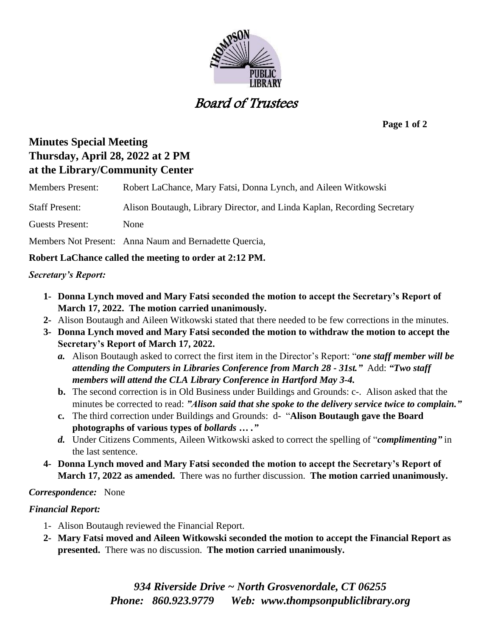

# Board of Trustees

**Page 1 of 2**

# **Minutes Special Meeting Thursday, April 28, 2022 at 2 PM at the Library/Community Center**

Members Present: Robert LaChance, Mary Fatsi, Donna Lynch, and Aileen Witkowski

Staff Present: Alison Boutaugh, Library Director, and Linda Kaplan, Recording Secretary

Guests Present: None

Members Not Present: Anna Naum and Bernadette Quercia,

# **Robert LaChance called the meeting to order at 2:12 PM.**

## *Secretary's Report:*

- **1- Donna Lynch moved and Mary Fatsi seconded the motion to accept the Secretary's Report of March 17, 2022. The motion carried unanimously.**
- **2-** Alison Boutaugh and Aileen Witkowski stated that there needed to be few corrections in the minutes.
- **3- Donna Lynch moved and Mary Fatsi seconded the motion to withdraw the motion to accept the Secretary's Report of March 17, 2022.**
	- *a.* Alison Boutaugh asked to correct the first item in the Director's Report: "*one staff member will be attending the Computers in Libraries Conference from March 28 - 31st."* Add: *"Two staff members will attend the CLA Library Conference in Hartford May 3-4.*
	- **b.** The second correction is in Old Business under Buildings and Grounds: c-. Alison asked that the minutes be corrected to read: *"Alison said that she spoke to the delivery service twice to complain."*
	- **c.** The third correction under Buildings and Grounds: d- "**Alison Boutaugh gave the Board photographs of various types of** *bollards … ."*
	- *d.* Under Citizens Comments, Aileen Witkowski asked to correct the spelling of "*complimenting"* in the last sentence.
- **4- Donna Lynch moved and Mary Fatsi seconded the motion to accept the Secretary's Report of March 17, 2022 as amended.** There was no further discussion. **The motion carried unanimously.**

# *Correspondence:* None

# *Financial Report:*

- 1- Alison Boutaugh reviewed the Financial Report.
- **2- Mary Fatsi moved and Aileen Witkowski seconded the motion to accept the Financial Report as presented.** There was no discussion. **The motion carried unanimously.**

*934 Riverside Drive ~ North Grosvenordale, CT 06255 Phone: 860.923.9779 Web: [www.thompsonpubliclibrary.org](http://www.thompsonpubliclibrary.org/)*